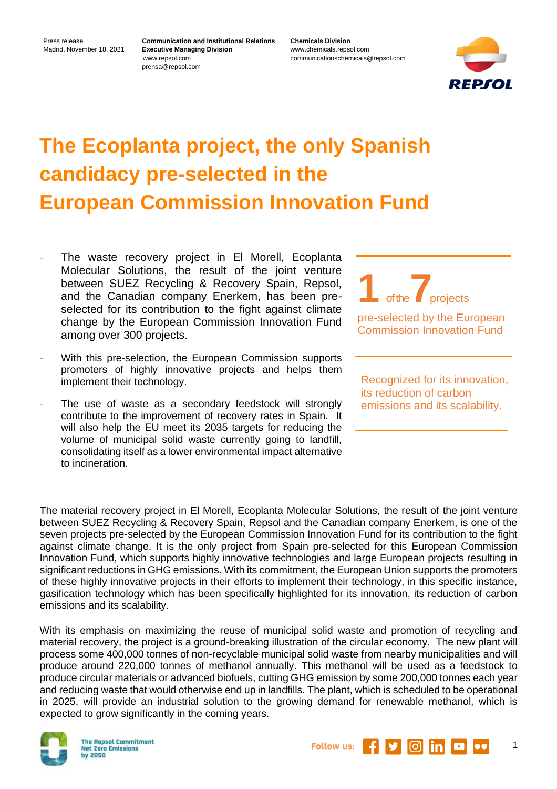**Communication and Institutional Relations Executive Managing Division** www.repsol.com prensa@repsol.com

**Chemicals Division** www.chemicals.repsol.com communicationschemicals@repsol.com



# **The Ecoplanta project, the only Spanish candidacy pre-selected in the European Commission Innovation Fund**

- The waste recovery project in El Morell, Ecoplanta Molecular Solutions, the result of the joint venture between SUEZ Recycling & Recovery Spain, Repsol, and the Canadian company Enerkem, has been preselected for its contribution to the fight against climate change by the European Commission Innovation Fund among over 300 projects.
- With this pre-selection, the European Commission supports promoters of highly innovative projects and helps them implement their technology.
- The use of waste as a secondary feedstock will strongly contribute to the improvement of recovery rates in Spain. It will also help the EU meet its 2035 targets for reducing the volume of municipal solid waste currently going to landfill, consolidating itself as a lower environmental impact alternative to incineration.

**1** of the**7**projects pre-selected by the European Commission Innovation Fund

Recognized for its innovation, its reduction of carbon emissions and its scalability.

The material recovery project in El Morell, Ecoplanta Molecular Solutions, the result of the joint venture between SUEZ Recycling & Recovery Spain, Repsol and the Canadian company Enerkem, is one of the seven projects pre-selected by the European Commission Innovation Fund for its contribution to the fight against climate change. It is the only project from Spain pre-selected for this European Commission Innovation Fund, which supports highly innovative technologies and large European projects resulting in significant reductions in GHG emissions. With its commitment, the European Union supports the promoters of these highly innovative projects in their efforts to implement their technology, in this specific instance, gasification technology which has been specifically highlighted for its innovation, its reduction of carbon emissions and its scalability.

With its emphasis on maximizing the reuse of municipal solid waste and promotion of recycling and material recovery, the project is a ground-breaking illustration of the circular economy. The new plant will process some 400,000 tonnes of non-recyclable municipal solid waste from nearby municipalities and will produce around 220,000 tonnes of methanol annually. This methanol will be used as a feedstock to produce circular materials or advanced biofuels, cutting GHG emission by some 200,000 tonnes each year and reducing waste that would otherwise end up in landfills. The plant, which is scheduled to be operational in 2025, will provide an industrial solution to the growing demand for renewable methanol, which is expected to grow significantly in the coming years.



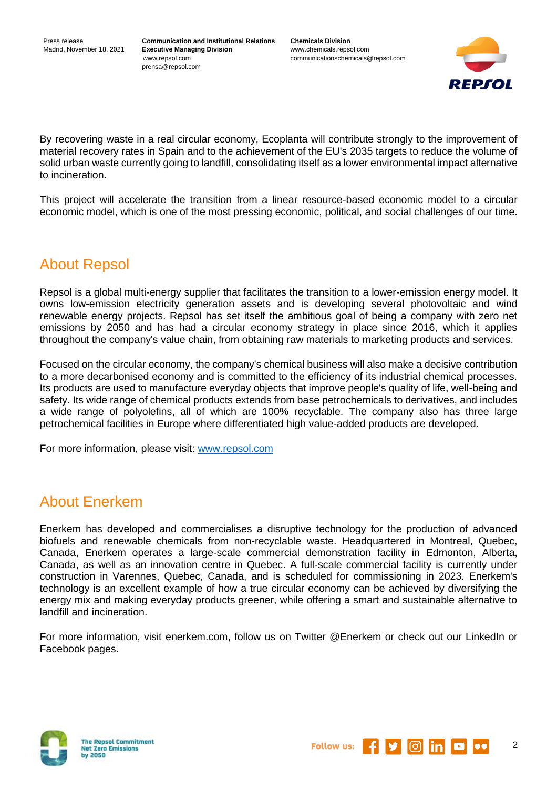**Communication and Institutional Relations Executive Managing Division** www.repsol.com prensa@repsol.com

**Chemicals Division** www.chemicals.repsol.com communicationschemicals@repsol.com



By recovering waste in a real circular economy, Ecoplanta will contribute strongly to the improvement of material recovery rates in Spain and to the achievement of the EU's 2035 targets to reduce the volume of solid urban waste currently going to landfill, consolidating itself as a lower environmental impact alternative to incineration.

This project will accelerate the transition from a linear resource-based economic model to a circular economic model, which is one of the most pressing economic, political, and social challenges of our time.

### About Repsol

Repsol is a global multi-energy supplier that facilitates the transition to a lower-emission energy model. It owns low-emission electricity generation assets and is developing several photovoltaic and wind renewable energy projects. Repsol has set itself the ambitious goal of being a company with zero net emissions by 2050 and has had a circular economy strategy in place since 2016, which it applies throughout the company's value chain, from obtaining raw materials to marketing products and services.

Focused on the circular economy, the company's chemical business will also make a decisive contribution to a more decarbonised economy and is committed to the efficiency of its industrial chemical processes. Its products are used to manufacture everyday objects that improve people's quality of life, well-being and safety. Its wide range of chemical products extends from base petrochemicals to derivatives, and includes a wide range of polyolefins, all of which are 100% recyclable. The company also has three large petrochemical facilities in Europe where differentiated high value-added products are developed.

For more information, please visit: [www.repsol.com](http://www.repsol.com/)

#### About Enerkem

Enerkem has developed and commercialises a disruptive technology for the production of advanced biofuels and renewable chemicals from non-recyclable waste. Headquartered in Montreal, Quebec, Canada, Enerkem operates a large-scale commercial demonstration facility in Edmonton, Alberta, Canada, as well as an innovation centre in Quebec. A full-scale commercial facility is currently under construction in Varennes, Quebec, Canada, and is scheduled for commissioning in 2023. Enerkem's technology is an excellent example of how a true circular economy can be achieved by diversifying the energy mix and making everyday products greener, while offering a smart and sustainable alternative to landfill and incineration.

For more information, visit enerkem.com, follow us on Twitter @Enerkem or check out our LinkedIn or Facebook pages.